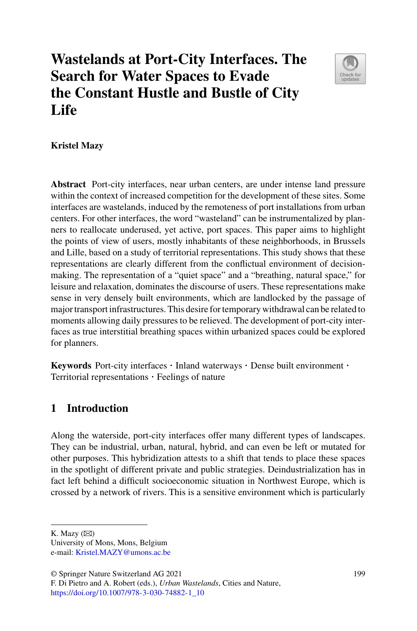# **Wastelands at Port-City Interfaces. The Search for Water Spaces to Evade the Constant Hustle and Bustle of City Life**



# **Kristel Mazy**

**Abstract** Port-city interfaces, near urban centers, are under intense land pressure within the context of increased competition for the development of these sites. Some interfaces are wastelands, induced by the remoteness of port installations from urban centers. For other interfaces, the word "wasteland" can be instrumentalized by planners to reallocate underused, yet active, port spaces. This paper aims to highlight the points of view of users, mostly inhabitants of these neighborhoods, in Brussels and Lille, based on a study of territorial representations. This study shows that these representations are clearly different from the conflictual environment of decisionmaking. The representation of a "quiet space" and a "breathing, natural space," for leisure and relaxation, dominates the discourse of users. These representations make sense in very densely built environments, which are landlocked by the passage of major transport infrastructures. This desire for temporary withdrawal can be related to moments allowing daily pressures to be relieved. The development of port-city interfaces as true interstitial breathing spaces within urbanized spaces could be explored for planners.

**Keywords** Port-city interfaces · Inland waterways · Dense built environment · Territorial representations · Feelings of nature

# **1 Introduction**

Along the waterside, port-city interfaces offer many different types of landscapes. They can be industrial, urban, natural, hybrid, and can even be left or mutated for other purposes. This hybridization attests to a shift that tends to place these spaces in the spotlight of different private and public strategies. Deindustrialization has in fact left behind a difficult socioeconomic situation in Northwest Europe, which is crossed by a network of rivers. This is a sensitive environment which is particularly

University of Mons, Mons, Belgium e-mail: [Kristel.MAZY@umons.ac.be](mailto:Kristel.MAZY@umons.ac.be)

K. Mazy  $(\boxtimes)$ 

<sup>©</sup> Springer Nature Switzerland AG 2021

F. Di Pietro and A. Robert (eds.), *Urban Wastelands*, Cities and Nature, [https://doi.org/10.1007/978-3-030-74882-1\\_10](https://doi.org/10.1007/978-3-030-74882-1_10)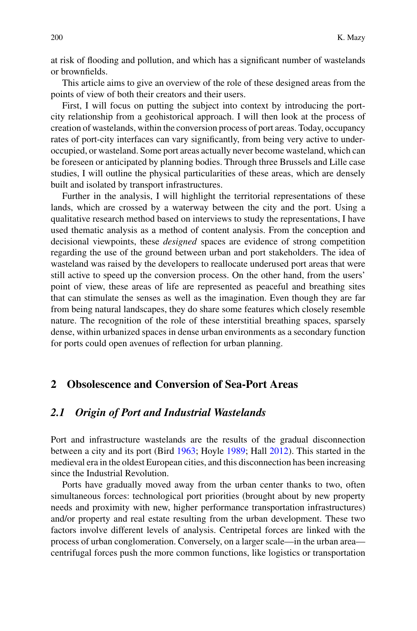at risk of flooding and pollution, and which has a significant number of wastelands or brownfields.

This article aims to give an overview of the role of these designed areas from the points of view of both their creators and their users.

First, I will focus on putting the subject into context by introducing the portcity relationship from a geohistorical approach. I will then look at the process of creation of wastelands, within the conversion process of port areas. Today, occupancy rates of port-city interfaces can vary significantly, from being very active to underoccupied, or wasteland. Some port areas actually never become wasteland, which can be foreseen or anticipated by planning bodies. Through three Brussels and Lille case studies, I will outline the physical particularities of these areas, which are densely built and isolated by transport infrastructures.

Further in the analysis, I will highlight the territorial representations of these lands, which are crossed by a waterway between the city and the port. Using a qualitative research method based on interviews to study the representations, I have used thematic analysis as a method of content analysis. From the conception and decisional viewpoints, these *designed* spaces are evidence of strong competition regarding the use of the ground between urban and port stakeholders. The idea of wasteland was raised by the developers to reallocate underused port areas that were still active to speed up the conversion process. On the other hand, from the users' point of view, these areas of life are represented as peaceful and breathing sites that can stimulate the senses as well as the imagination. Even though they are far from being natural landscapes, they do share some features which closely resemble nature. The recognition of the role of these interstitial breathing spaces, sparsely dense, within urbanized spaces in dense urban environments as a secondary function for ports could open avenues of reflection for urban planning.

# **2 Obsolescence and Conversion of Sea-Port Areas**

# *2.1 Origin of Port and Industrial Wastelands*

Port and infrastructure wastelands are the results of the gradual disconnection between a city and its port (Bird 1963; Hoyle 1989; Hall 2012). This started in the medieval era in the oldest European cities, and this disconnection has been increasing since the Industrial Revolution.

Ports have gradually moved away from the urban center thanks to two, often simultaneous forces: technological port priorities (brought about by new property needs and proximity with new, higher performance transportation infrastructures) and/or property and real estate resulting from the urban development. These two factors involve different levels of analysis. Centripetal forces are linked with the process of urban conglomeration. Conversely, on a larger scale—in the urban area centrifugal forces push the more common functions, like logistics or transportation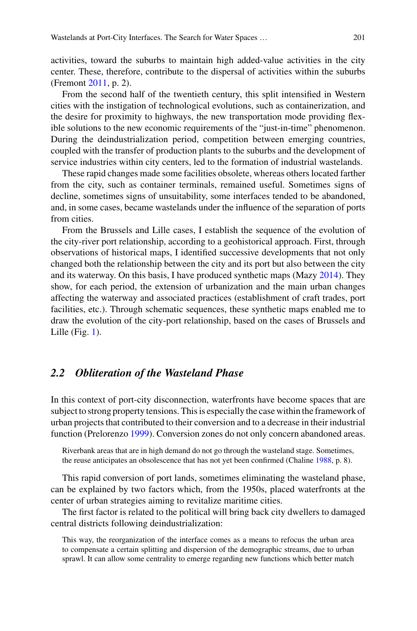activities, toward the suburbs to maintain high added-value activities in the city center. These, therefore, contribute to the dispersal of activities within the suburbs (Fremont 2011, p. 2).

From the second half of the twentieth century, this split intensified in Western cities with the instigation of technological evolutions, such as containerization, and the desire for proximity to highways, the new transportation mode providing flexible solutions to the new economic requirements of the "just-in-time" phenomenon. During the deindustrialization period, competition between emerging countries, coupled with the transfer of production plants to the suburbs and the development of service industries within city centers, led to the formation of industrial wastelands.

These rapid changes made some facilities obsolete, whereas others located farther from the city, such as container terminals, remained useful. Sometimes signs of decline, sometimes signs of unsuitability, some interfaces tended to be abandoned, and, in some cases, became wastelands under the influence of the separation of ports from cities.

From the Brussels and Lille cases, I establish the sequence of the evolution of the city-river port relationship, according to a geohistorical approach. First, through observations of historical maps, I identified successive developments that not only changed both the relationship between the city and its port but also between the city and its waterway. On this basis, I have produced synthetic maps (Mazy 2014). They show, for each period, the extension of urbanization and the main urban changes affecting the waterway and associated practices (establishment of craft trades, port facilities, etc.). Through schematic sequences, these synthetic maps enabled me to draw the evolution of the city-port relationship, based on the cases of Brussels and Lille (Fig. 1).

# *2.2 Obliteration of the Wasteland Phase*

In this context of port-city disconnection, waterfronts have become spaces that are subject to strong property tensions. This is especially the case within the framework of urban projects that contributed to their conversion and to a decrease in their industrial function (Prelorenzo 1999). Conversion zones do not only concern abandoned areas.

Riverbank areas that are in high demand do not go through the wasteland stage. Sometimes, the reuse anticipates an obsolescence that has not yet been confirmed (Chaline 1988, p. 8).

This rapid conversion of port lands, sometimes eliminating the wasteland phase, can be explained by two factors which, from the 1950s, placed waterfronts at the center of urban strategies aiming to revitalize maritime cities.

The first factor is related to the political will bring back city dwellers to damaged central districts following deindustrialization:

This way, the reorganization of the interface comes as a means to refocus the urban area to compensate a certain splitting and dispersion of the demographic streams, due to urban sprawl. It can allow some centrality to emerge regarding new functions which better match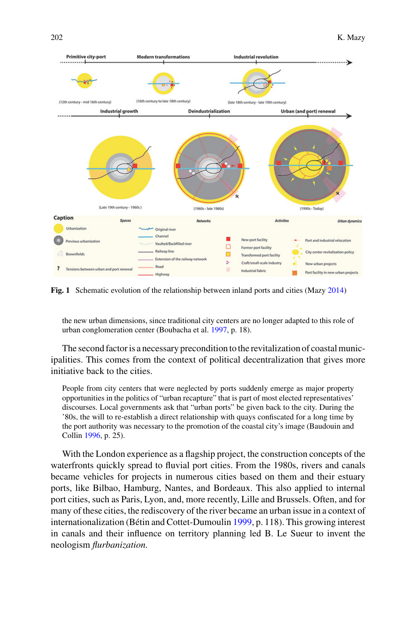

**Fig. 1** Schematic evolution of the relationship between inland ports and cities (Mazy 2014)

the new urban dimensions, since traditional city centers are no longer adapted to this role of urban conglomeration center (Boubacha et al. 1997, p. 18).

The second factor is a necessary precondition to the revitalization of coastal municipalities. This comes from the context of political decentralization that gives more initiative back to the cities.

People from city centers that were neglected by ports suddenly emerge as major property opportunities in the politics of "urban recapture" that is part of most elected representatives' discourses. Local governments ask that "urban ports" be given back to the city. During the '80s, the will to re-establish a direct relationship with quays confiscated for a long time by the port authority was necessary to the promotion of the coastal city's image (Baudouin and Collin 1996, p. 25).

With the London experience as a flagship project, the construction concepts of the waterfronts quickly spread to fluvial port cities. From the 1980s, rivers and canals became vehicles for projects in numerous cities based on them and their estuary ports, like Bilbao, Hamburg, Nantes, and Bordeaux. This also applied to internal port cities, such as Paris, Lyon, and, more recently, Lille and Brussels. Often, and for many of these cities, the rediscovery of the river became an urban issue in a context of internationalization (Bétin and Cottet-Dumoulin 1999, p. 118). This growing interest in canals and their influence on territory planning led B. Le Sueur to invent the neologism *flurbanization*.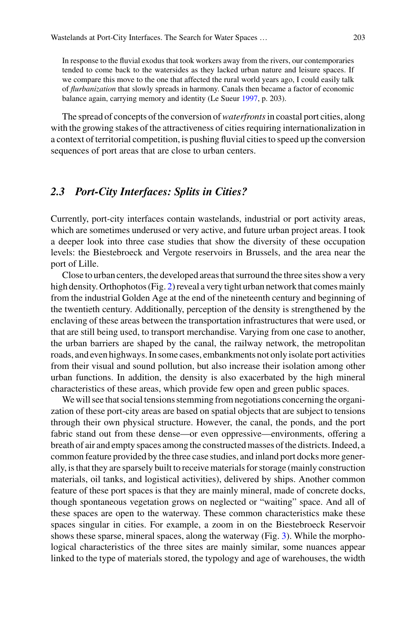In response to the fluvial exodus that took workers away from the rivers, our contemporaries tended to come back to the watersides as they lacked urban nature and leisure spaces. If we compare this move to the one that affected the rural world years ago, I could easily talk of *flurbanization* that slowly spreads in harmony. Canals then became a factor of economic balance again, carrying memory and identity (Le Sueur 1997, p. 203).

The spread of concepts of the conversion of*waterfronts*in coastal port cities, along with the growing stakes of the attractiveness of cities requiring internationalization in a context of territorial competition, is pushing fluvial cities to speed up the conversion sequences of port areas that are close to urban centers.

# *2.3 Port-City Interfaces: Splits in Cities?*

Currently, port-city interfaces contain wastelands, industrial or port activity areas, which are sometimes underused or very active, and future urban project areas. I took a deeper look into three case studies that show the diversity of these occupation levels: the Biestebroeck and Vergote reservoirs in Brussels, and the area near the port of Lille.

Close to urban centers, the developed areas that surround the three sites show a very high density. Orthophotos (Fig. 2) reveal a very tight urban network that comes mainly from the industrial Golden Age at the end of the nineteenth century and beginning of the twentieth century. Additionally, perception of the density is strengthened by the enclaving of these areas between the transportation infrastructures that were used, or that are still being used, to transport merchandise. Varying from one case to another, the urban barriers are shaped by the canal, the railway network, the metropolitan roads, and even highways. In some cases, embankments not only isolate port activities from their visual and sound pollution, but also increase their isolation among other urban functions. In addition, the density is also exacerbated by the high mineral characteristics of these areas, which provide few open and green public spaces.

We will see that social tensions stemming from negotiations concerning the organization of these port-city areas are based on spatial objects that are subject to tensions through their own physical structure. However, the canal, the ponds, and the port fabric stand out from these dense—or even oppressive—environments, offering a breath of air and empty spaces among the constructed masses of the districts. Indeed, a common feature provided by the three case studies, and inland port docks more generally, is that they are sparsely built to receive materials for storage (mainly construction materials, oil tanks, and logistical activities), delivered by ships. Another common feature of these port spaces is that they are mainly mineral, made of concrete docks, though spontaneous vegetation grows on neglected or "waiting" space. And all of these spaces are open to the waterway. These common characteristics make these spaces singular in cities. For example, a zoom in on the Biestebroeck Reservoir shows these sparse, mineral spaces, along the waterway (Fig. 3). While the morphological characteristics of the three sites are mainly similar, some nuances appear linked to the type of materials stored, the typology and age of warehouses, the width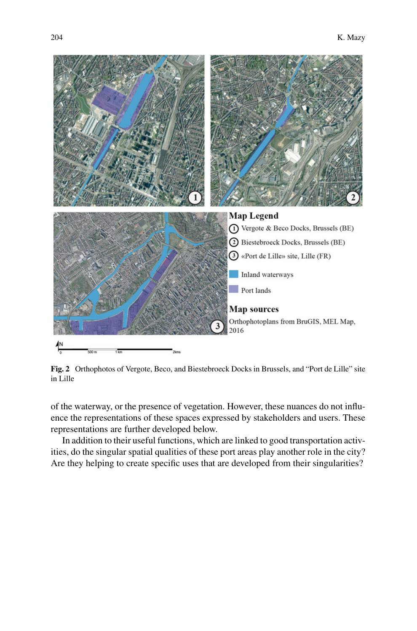

**Fig. 2** Orthophotos of Vergote, Beco, and Biestebroeck Docks in Brussels, and "Port de Lille" site in Lille

of the waterway, or the presence of vegetation. However, these nuances do not influence the representations of these spaces expressed by stakeholders and users. These representations are further developed below.

In addition to their useful functions, which are linked to good transportation activities, do the singular spatial qualities of these port areas play another role in the city? Are they helping to create specific uses that are developed from their singularities?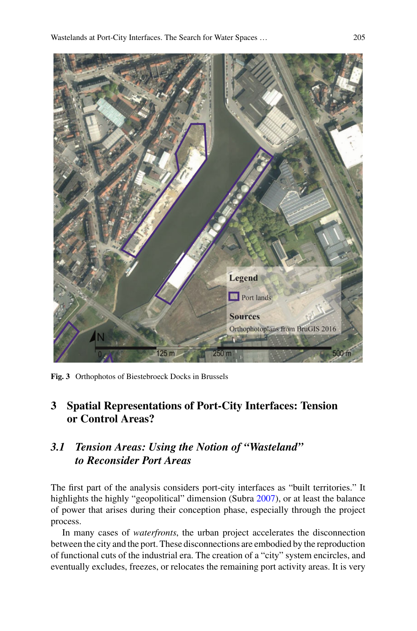

**Fig. 3** Orthophotos of Biestebroeck Docks in Brussels

# **3 Spatial Representations of Port-City Interfaces: Tension or Control Areas?**

# *3.1 Tension Areas: Using the Notion of "Wasteland" to Reconsider Port Areas*

The first part of the analysis considers port-city interfaces as "built territories." It highlights the highly "geopolitical" dimension (Subra 2007), or at least the balance of power that arises during their conception phase, especially through the project process.

In many cases of *waterfronts*, the urban project accelerates the disconnection between the city and the port. These disconnections are embodied by the reproduction of functional cuts of the industrial era. The creation of a "city" system encircles, and eventually excludes, freezes, or relocates the remaining port activity areas. It is very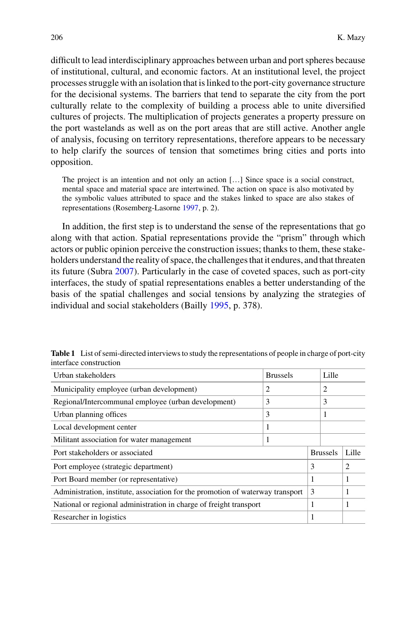difficult to lead interdisciplinary approaches between urban and port spheres because of institutional, cultural, and economic factors. At an institutional level, the project processes struggle with an isolation that is linked to the port-city governance structure for the decisional systems. The barriers that tend to separate the city from the port culturally relate to the complexity of building a process able to unite diversified cultures of projects. The multiplication of projects generates a property pressure on the port wastelands as well as on the port areas that are still active. Another angle of analysis, focusing on territory representations, therefore appears to be necessary to help clarify the sources of tension that sometimes bring cities and ports into opposition.

The project is an intention and not only an action […] Since space is a social construct, mental space and material space are intertwined. The action on space is also motivated by the symbolic values attributed to space and the stakes linked to space are also stakes of representations (Rosemberg-Lasorne 1997, p. 2).

In addition, the first step is to understand the sense of the representations that go along with that action. Spatial representations provide the "prism" through which actors or public opinion perceive the construction issues; thanks to them, these stakeholders understand the reality of space, the challenges that it endures, and that threaten its future (Subra 2007). Particularly in the case of coveted spaces, such as port-city interfaces, the study of spatial representations enables a better understanding of the basis of the spatial challenges and social tensions by analyzing the strategies of individual and social stakeholders (Bailly 1995, p. 378).

| Urban stakeholders                                                             | <b>Brussels</b> |                 | Lille |                |
|--------------------------------------------------------------------------------|-----------------|-----------------|-------|----------------|
| Municipality employee (urban development)                                      | 2               |                 | 2     |                |
| Regional/Intercommunal employee (urban development)                            | 3               |                 | 3     |                |
| Urban planning offices                                                         | 3               |                 |       |                |
| Local development center                                                       | 1               |                 |       |                |
| Militant association for water management                                      | 1               |                 |       |                |
| Port stakeholders or associated                                                |                 | <b>Brussels</b> |       | Lille          |
| Port employee (strategic department)                                           |                 | 3               |       | $\overline{c}$ |
| Port Board member (or representative)                                          |                 | 1               |       | 1              |
| Administration, institute, association for the promotion of waterway transport |                 | 3               |       | 1              |
| National or regional administration in charge of freight transport             |                 | 1               |       | 1              |
| Researcher in logistics                                                        |                 | 1               |       |                |

**Table 1** List of semi-directed interviews to study the representations of people in charge of port-city interface construction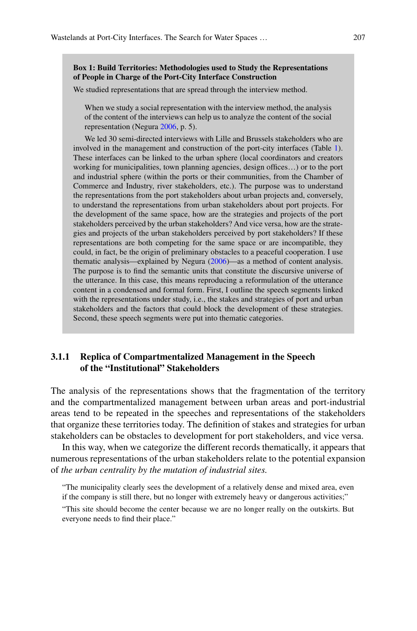#### **Box 1: Build Territories: Methodologies used to Study the Representations of People in Charge of the Port-City Interface Construction**

We studied representations that are spread through the interview method.

When we study a social representation with the interview method, the analysis of the content of the interviews can help us to analyze the content of the social representation (Negura 2006, p. 5).

We led 30 semi-directed interviews with Lille and Brussels stakeholders who are involved in the management and construction of the port-city interfaces (Table 1). These interfaces can be linked to the urban sphere (local coordinators and creators working for municipalities, town planning agencies, design offices…) or to the port and industrial sphere (within the ports or their communities, from the Chamber of Commerce and Industry, river stakeholders, etc.). The purpose was to understand the representations from the port stakeholders about urban projects and, conversely, to understand the representations from urban stakeholders about port projects. For the development of the same space, how are the strategies and projects of the port stakeholders perceived by the urban stakeholders? And vice versa, how are the strategies and projects of the urban stakeholders perceived by port stakeholders? If these representations are both competing for the same space or are incompatible, they could, in fact, be the origin of preliminary obstacles to a peaceful cooperation. I use thematic analysis—explained by Negura (2006)—as a method of content analysis. The purpose is to find the semantic units that constitute the discursive universe of the utterance. In this case, this means reproducing a reformulation of the utterance content in a condensed and formal form. First, I outline the speech segments linked with the representations under study, i.e., the stakes and strategies of port and urban stakeholders and the factors that could block the development of these strategies. Second, these speech segments were put into thematic categories.

### **3.1.1 Replica of Compartmentalized Management in the Speech of the "Institutional" Stakeholders**

The analysis of the representations shows that the fragmentation of the territory and the compartmentalized management between urban areas and port-industrial areas tend to be repeated in the speeches and representations of the stakeholders that organize these territories today. The definition of stakes and strategies for urban stakeholders can be obstacles to development for port stakeholders, and vice versa.

In this way, when we categorize the different records thematically, it appears that numerous representations of the urban stakeholders relate to the potential expansion of *the urban centrality by the mutation of industrial sites.*

"The municipality clearly sees the development of a relatively dense and mixed area, even if the company is still there, but no longer with extremely heavy or dangerous activities;"

"This site should become the center because we are no longer really on the outskirts. But everyone needs to find their place."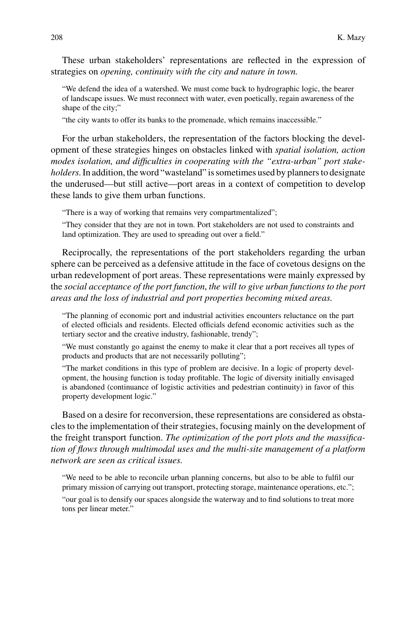These urban stakeholders' representations are reflected in the expression of strategies on *opening, continuity with the city and nature in town.*

"We defend the idea of a watershed. We must come back to hydrographic logic, the bearer of landscape issues. We must reconnect with water, even poetically, regain awareness of the shape of the city;"

"the city wants to offer its banks to the promenade, which remains inaccessible."

For the urban stakeholders, the representation of the factors blocking the development of these strategies hinges on obstacles linked with *spatial isolation, action modes isolation, and difficulties in cooperating with the "extra-urban" port stakeholders*. In addition, the word "wasteland" is sometimes used by planners to designate the underused—but still active—port areas in a context of competition to develop these lands to give them urban functions.

"There is a way of working that remains very compartmentalized";

"They consider that they are not in town. Port stakeholders are not used to constraints and land optimization. They are used to spreading out over a field."

Reciprocally, the representations of the port stakeholders regarding the urban sphere can be perceived as a defensive attitude in the face of covetous designs on the urban redevelopment of port areas. These representations were mainly expressed by the *social acceptance of the port function*, *the will to give urban functions to the port areas and the loss of industrial and port properties becoming mixed areas.*

"The planning of economic port and industrial activities encounters reluctance on the part of elected officials and residents. Elected officials defend economic activities such as the tertiary sector and the creative industry, fashionable, trendy";

"We must constantly go against the enemy to make it clear that a port receives all types of products and products that are not necessarily polluting";

"The market conditions in this type of problem are decisive. In a logic of property development, the housing function is today profitable. The logic of diversity initially envisaged is abandoned (continuance of logistic activities and pedestrian continuity) in favor of this property development logic."

Based on a desire for reconversion, these representations are considered as obstacles to the implementation of their strategies, focusing mainly on the development of the freight transport function. *The optimization of the port plots and the massification of flows through multimodal uses and the multi-site management of a platform network are seen as critical issues*.

"We need to be able to reconcile urban planning concerns, but also to be able to fulfil our primary mission of carrying out transport, protecting storage, maintenance operations, etc."; "our goal is to densify our spaces alongside the waterway and to find solutions to treat more tons per linear meter."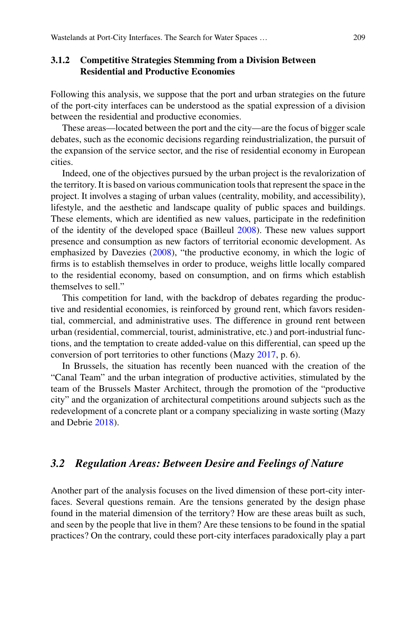### **3.1.2 Competitive Strategies Stemming from a Division Between Residential and Productive Economies**

Following this analysis, we suppose that the port and urban strategies on the future of the port-city interfaces can be understood as the spatial expression of a division between the residential and productive economies.

These areas—located between the port and the city—are the focus of bigger scale debates, such as the economic decisions regarding reindustrialization, the pursuit of the expansion of the service sector, and the rise of residential economy in European cities.

Indeed, one of the objectives pursued by the urban project is the revalorization of the territory. It is based on various communication tools that represent the space in the project. It involves a staging of urban values (centrality, mobility, and accessibility), lifestyle, and the aesthetic and landscape quality of public spaces and buildings. These elements, which are identified as new values, participate in the redefinition of the identity of the developed space (Bailleul 2008). These new values support presence and consumption as new factors of territorial economic development. As emphasized by Davezies (2008), "the productive economy, in which the logic of firms is to establish themselves in order to produce, weighs little locally compared to the residential economy, based on consumption, and on firms which establish themselves to sell."

This competition for land, with the backdrop of debates regarding the productive and residential economies, is reinforced by ground rent, which favors residential, commercial, and administrative uses. The difference in ground rent between urban (residential, commercial, tourist, administrative, etc.) and port-industrial functions, and the temptation to create added-value on this differential, can speed up the conversion of port territories to other functions (Mazy 2017, p. 6).

In Brussels, the situation has recently been nuanced with the creation of the "Canal Team" and the urban integration of productive activities, stimulated by the team of the Brussels Master Architect, through the promotion of the "productive city" and the organization of architectural competitions around subjects such as the redevelopment of a concrete plant or a company specializing in waste sorting (Mazy and Debrie 2018).

# *3.2 Regulation Areas: Between Desire and Feelings of Nature*

Another part of the analysis focuses on the lived dimension of these port-city interfaces. Several questions remain. Are the tensions generated by the design phase found in the material dimension of the territory? How are these areas built as such, and seen by the people that live in them? Are these tensions to be found in the spatial practices? On the contrary, could these port-city interfaces paradoxically play a part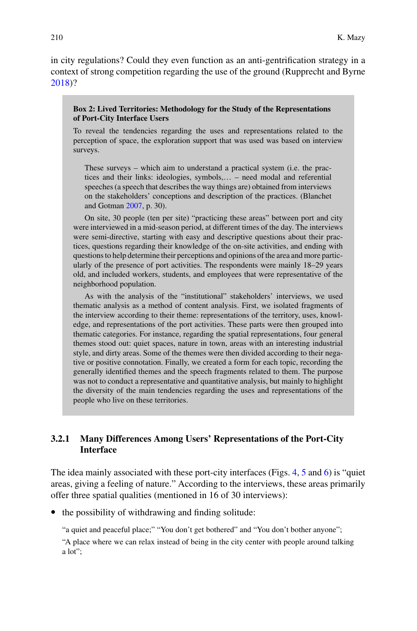in city regulations? Could they even function as an anti-gentrification strategy in a context of strong competition regarding the use of the ground (Rupprecht and Byrne 2018)?

#### **Box 2: Lived Territories: Methodology for the Study of the Representations of Port-City Interface Users**

To reveal the tendencies regarding the uses and representations related to the perception of space, the exploration support that was used was based on interview surveys.

These surveys – which aim to understand a practical system (i.e. the practices and their links: ideologies, symbols,… – need modal and referential speeches (a speech that describes the way things are) obtained from interviews on the stakeholders' conceptions and description of the practices. (Blanchet and Gotman 2007, p. 30).

On site, 30 people (ten per site) "practicing these areas" between port and city were interviewed in a mid-season period, at different times of the day. The interviews were semi-directive, starting with easy and descriptive questions about their practices, questions regarding their knowledge of the on-site activities, and ending with questions to help determine their perceptions and opinions of the area and more particularly of the presence of port activities. The respondents were mainly 18–29 years old, and included workers, students, and employees that were representative of the neighborhood population.

As with the analysis of the "institutional" stakeholders' interviews, we used thematic analysis as a method of content analysis. First, we isolated fragments of the interview according to their theme: representations of the territory, uses, knowledge, and representations of the port activities. These parts were then grouped into thematic categories. For instance, regarding the spatial representations, four general themes stood out: quiet spaces, nature in town, areas with an interesting industrial style, and dirty areas. Some of the themes were then divided according to their negative or positive connotation. Finally, we created a form for each topic, recording the generally identified themes and the speech fragments related to them. The purpose was not to conduct a representative and quantitative analysis, but mainly to highlight the diversity of the main tendencies regarding the uses and representations of the people who live on these territories.

## **3.2.1 Many Differences Among Users' Representations of the Port-City Interface**

The idea mainly associated with these port-city interfaces (Figs. 4, 5 and 6) is "quiet areas, giving a feeling of nature." According to the interviews, these areas primarily offer three spatial qualities (mentioned in 16 of 30 interviews):

• the possibility of withdrawing and finding solitude:

"a quiet and peaceful place;" "You don't get bothered" and "You don't bother anyone"; "A place where we can relax instead of being in the city center with people around talking a lot";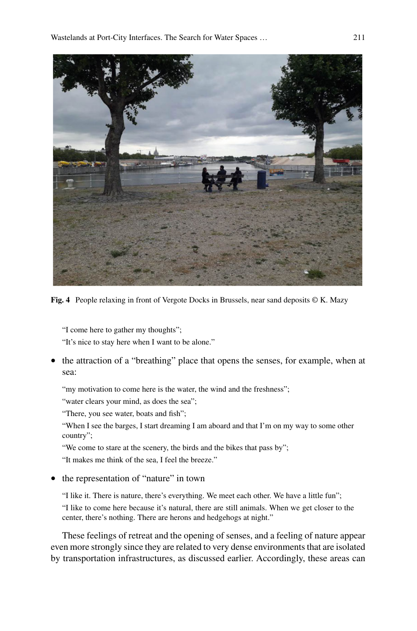

**Fig. 4** People relaxing in front of Vergote Docks in Brussels, near sand deposits © K. Mazy

"I come here to gather my thoughts";

"It's nice to stay here when I want to be alone."

• the attraction of a "breathing" place that opens the senses, for example, when at sea:

"my motivation to come here is the water, the wind and the freshness";

"water clears your mind, as does the sea";

"There, you see water, boats and fish";

"When I see the barges, I start dreaming I am aboard and that I'm on my way to some other country";

"We come to stare at the scenery, the birds and the bikes that pass by";

"It makes me think of the sea, I feel the breeze."

• the representation of "nature" in town

"I like it. There is nature, there's everything. We meet each other. We have a little fun"; "I like to come here because it's natural, there are still animals. When we get closer to the center, there's nothing. There are herons and hedgehogs at night."

These feelings of retreat and the opening of senses, and a feeling of nature appear even more strongly since they are related to very dense environments that are isolated by transportation infrastructures, as discussed earlier. Accordingly, these areas can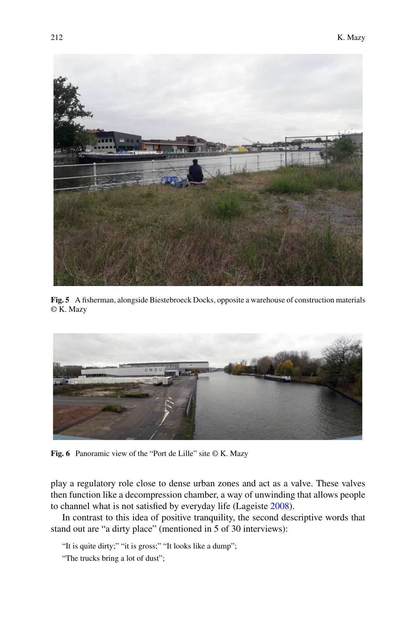

**Fig. 5** A fisherman, alongside Biestebroeck Docks, opposite a warehouse of construction materials © K. Mazy



Fig. 6 Panoramic view of the "Port de Lille" site © K. Mazy

play a regulatory role close to dense urban zones and act as a valve. These valves then function like a decompression chamber, a way of unwinding that allows people to channel what is not satisfied by everyday life (Lageiste 2008).

In contrast to this idea of positive tranquility, the second descriptive words that stand out are "a dirty place" (mentioned in 5 of 30 interviews):

"It is quite dirty;" "it is gross;" "It looks like a dump";

"The trucks bring a lot of dust";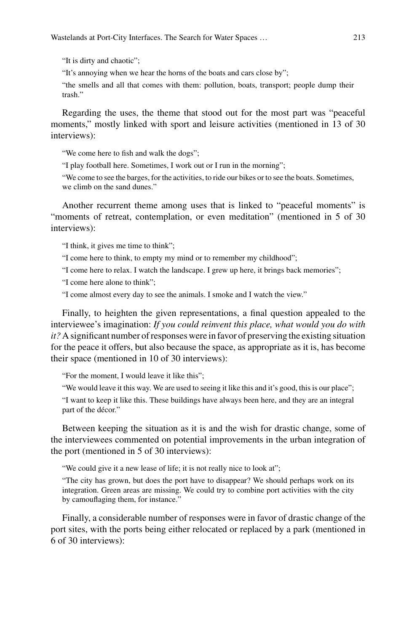"It is dirty and chaotic";

"It's annoying when we hear the horns of the boats and cars close by";

"the smells and all that comes with them: pollution, boats, transport; people dump their trash."

Regarding the uses, the theme that stood out for the most part was "peaceful moments," mostly linked with sport and leisure activities (mentioned in 13 of 30 interviews):

"We come here to fish and walk the dogs";

"I play football here. Sometimes, I work out or I run in the morning";

"We come to see the barges, for the activities, to ride our bikes or to see the boats. Sometimes, we climb on the sand dunes."

Another recurrent theme among uses that is linked to "peaceful moments" is "moments of retreat, contemplation, or even meditation" (mentioned in 5 of 30 interviews):

"I think, it gives me time to think";

"I come here to think, to empty my mind or to remember my childhood";

"I come here to relax. I watch the landscape. I grew up here, it brings back memories";

"I come here alone to think";

"I come almost every day to see the animals. I smoke and I watch the view."

Finally, to heighten the given representations, a final question appealed to the interviewee's imagination: *If you could reinvent this place, what would you do with it?* A significant number of responses were in favor of preserving the existing situation for the peace it offers, but also because the space, as appropriate as it is, has become their space (mentioned in 10 of 30 interviews):

"For the moment, I would leave it like this";

"We would leave it this way. We are used to seeing it like this and it's good, this is our place";

"I want to keep it like this. These buildings have always been here, and they are an integral part of the décor."

Between keeping the situation as it is and the wish for drastic change, some of the interviewees commented on potential improvements in the urban integration of the port (mentioned in 5 of 30 interviews):

"We could give it a new lease of life; it is not really nice to look at";

"The city has grown, but does the port have to disappear? We should perhaps work on its integration. Green areas are missing. We could try to combine port activities with the city by camouflaging them, for instance."

Finally, a considerable number of responses were in favor of drastic change of the port sites, with the ports being either relocated or replaced by a park (mentioned in 6 of 30 interviews):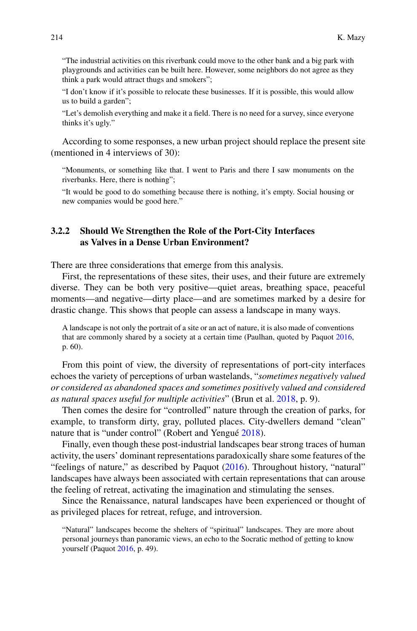"The industrial activities on this riverbank could move to the other bank and a big park with playgrounds and activities can be built here. However, some neighbors do not agree as they think a park would attract thugs and smokers";

"I don't know if it's possible to relocate these businesses. If it is possible, this would allow us to build a garden";

"Let's demolish everything and make it a field. There is no need for a survey, since everyone thinks it's ugly."

According to some responses, a new urban project should replace the present site (mentioned in 4 interviews of 30):

"Monuments, or something like that. I went to Paris and there I saw monuments on the riverbanks. Here, there is nothing";

"It would be good to do something because there is nothing, it's empty. Social housing or new companies would be good here."

### **3.2.2 Should We Strengthen the Role of the Port-City Interfaces as Valves in a Dense Urban Environment?**

There are three considerations that emerge from this analysis.

First, the representations of these sites, their uses, and their future are extremely diverse. They can be both very positive—quiet areas, breathing space, peaceful moments—and negative—dirty place—and are sometimes marked by a desire for drastic change. This shows that people can assess a landscape in many ways.

A landscape is not only the portrait of a site or an act of nature, it is also made of conventions that are commonly shared by a society at a certain time (Paulhan, quoted by Paquot 2016, p. 60).

From this point of view, the diversity of representations of port-city interfaces echoes the variety of perceptions of urban wastelands, "*sometimes negatively valued or considered as abandoned spaces and sometimes positively valued and considered as natural spaces useful for multiple activities*" (Brun et al. 2018, p. 9).

Then comes the desire for "controlled" nature through the creation of parks, for example, to transform dirty, gray, polluted places. City-dwellers demand "clean" nature that is "under control" (Robert and Yengué 2018).

Finally, even though these post-industrial landscapes bear strong traces of human activity, the users' dominant representations paradoxically share some features of the "feelings of nature," as described by Paquot (2016). Throughout history, "natural" landscapes have always been associated with certain representations that can arouse the feeling of retreat, activating the imagination and stimulating the senses.

Since the Renaissance, natural landscapes have been experienced or thought of as privileged places for retreat, refuge, and introversion.

"Natural" landscapes become the shelters of "spiritual" landscapes. They are more about personal journeys than panoramic views, an echo to the Socratic method of getting to know yourself (Paquot 2016, p. 49).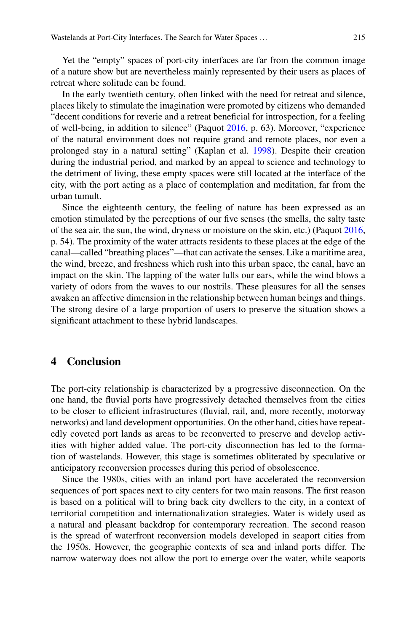Yet the "empty" spaces of port-city interfaces are far from the common image of a nature show but are nevertheless mainly represented by their users as places of retreat where solitude can be found.

In the early twentieth century, often linked with the need for retreat and silence, places likely to stimulate the imagination were promoted by citizens who demanded "decent conditions for reverie and a retreat beneficial for introspection, for a feeling of well-being, in addition to silence" (Paquot 2016, p. 63). Moreover, "experience of the natural environment does not require grand and remote places, nor even a prolonged stay in a natural setting" (Kaplan et al. 1998). Despite their creation during the industrial period, and marked by an appeal to science and technology to the detriment of living, these empty spaces were still located at the interface of the city, with the port acting as a place of contemplation and meditation, far from the urban tumult.

Since the eighteenth century, the feeling of nature has been expressed as an emotion stimulated by the perceptions of our five senses (the smells, the salty taste of the sea air, the sun, the wind, dryness or moisture on the skin, etc.) (Paquot 2016, p. 54). The proximity of the water attracts residents to these places at the edge of the canal—called "breathing places"—that can activate the senses. Like a maritime area, the wind, breeze, and freshness which rush into this urban space, the canal, have an impact on the skin. The lapping of the water lulls our ears, while the wind blows a variety of odors from the waves to our nostrils. These pleasures for all the senses awaken an affective dimension in the relationship between human beings and things. The strong desire of a large proportion of users to preserve the situation shows a significant attachment to these hybrid landscapes.

### **4 Conclusion**

The port-city relationship is characterized by a progressive disconnection. On the one hand, the fluvial ports have progressively detached themselves from the cities to be closer to efficient infrastructures (fluvial, rail, and, more recently, motorway networks) and land development opportunities. On the other hand, cities have repeatedly coveted port lands as areas to be reconverted to preserve and develop activities with higher added value. The port-city disconnection has led to the formation of wastelands. However, this stage is sometimes obliterated by speculative or anticipatory reconversion processes during this period of obsolescence.

Since the 1980s, cities with an inland port have accelerated the reconversion sequences of port spaces next to city centers for two main reasons. The first reason is based on a political will to bring back city dwellers to the city, in a context of territorial competition and internationalization strategies. Water is widely used as a natural and pleasant backdrop for contemporary recreation. The second reason is the spread of waterfront reconversion models developed in seaport cities from the 1950s. However, the geographic contexts of sea and inland ports differ. The narrow waterway does not allow the port to emerge over the water, while seaports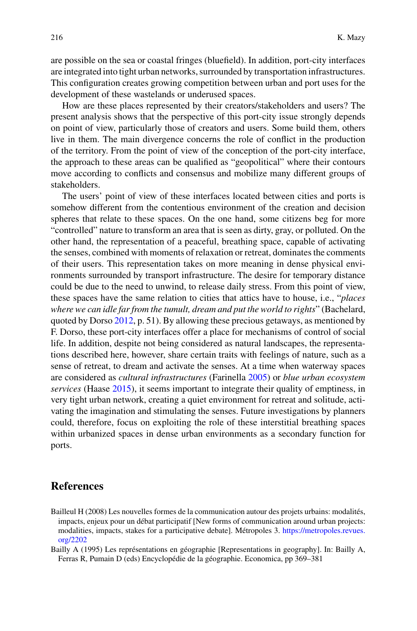are possible on the sea or coastal fringes (bluefield). In addition, port-city interfaces are integrated into tight urban networks, surrounded by transportation infrastructures. This configuration creates growing competition between urban and port uses for the development of these wastelands or underused spaces.

How are these places represented by their creators/stakeholders and users? The present analysis shows that the perspective of this port-city issue strongly depends on point of view, particularly those of creators and users. Some build them, others live in them. The main divergence concerns the role of conflict in the production of the territory. From the point of view of the conception of the port-city interface, the approach to these areas can be qualified as "geopolitical" where their contours move according to conflicts and consensus and mobilize many different groups of stakeholders.

The users' point of view of these interfaces located between cities and ports is somehow different from the contentious environment of the creation and decision spheres that relate to these spaces. On the one hand, some citizens beg for more "controlled" nature to transform an area that is seen as dirty, gray, or polluted. On the other hand, the representation of a peaceful, breathing space, capable of activating the senses, combined with moments of relaxation or retreat, dominates the comments of their users. This representation takes on more meaning in dense physical environments surrounded by transport infrastructure. The desire for temporary distance could be due to the need to unwind, to release daily stress. From this point of view, these spaces have the same relation to cities that attics have to house, i.e., "*places where we can idle far from the tumult, dream and put the world to rights*" (Bachelard, quoted by Dorso  $2012$ , p. 51). By allowing these precious getaways, as mentioned by F. Dorso, these port-city interfaces offer a place for mechanisms of control of social life. In addition, despite not being considered as natural landscapes, the representations described here, however, share certain traits with feelings of nature, such as a sense of retreat, to dream and activate the senses. At a time when waterway spaces are considered as *cultural infrastructures* (Farinella 2005) or *blue urban ecosystem services* (Haase 2015), it seems important to integrate their quality of emptiness, in very tight urban network, creating a quiet environment for retreat and solitude, activating the imagination and stimulating the senses. Future investigations by planners could, therefore, focus on exploiting the role of these interstitial breathing spaces within urbanized spaces in dense urban environments as a secondary function for ports.

### **References**

Bailleul H (2008) Les nouvelles formes de la communication autour des projets urbains: modalités, impacts, enjeux pour un débat participatif [New forms of communication around urban projects: [modalities, impacts, stakes for a participative debate\]. Métropoles 3.](https://metropoles.revues.org/2202) https://metropoles.revues. org/2202

Bailly A (1995) Les représentations en géographie [Representations in geography]. In: Bailly A, Ferras R, Pumain D (eds) Encyclopédie de la géographie. Economica, pp 369–381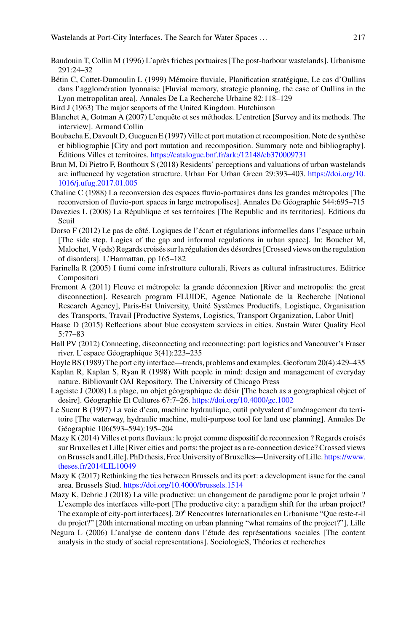- Baudouin T, Collin M (1996) L'après friches portuaires [The post-harbour wastelands]. Urbanisme 291:24–32
- Bétin C, Cottet-Dumoulin L (1999) Mémoire fluviale, Planification stratégique, Le cas d'Oullins dans l'agglomération lyonnaise [Fluvial memory, strategic planning, the case of Oullins in the Lyon metropolitan area]. Annales De La Recherche Urbaine 82:118–129
- Bird J (1963) The major seaports of the United Kingdom. Hutchinson
- Blanchet A, Gotman A (2007) L'enquête et ses méthodes. L'entretien [Survey and its methods. The interview]. Armand Collin
- Boubacha E, Davoult D, Gueguen E (1997) Ville et port mutation et recomposition. Note de synthèse et bibliographie [City and port mutation and recomposition. Summary note and bibliography]. Éditions Villes et territoires. <https://catalogue.bnf.fr/ark:/12148/cb370009731>
- Brun M, Di Pietro F, Bonthoux S (2018) Residents' perceptions and valuations of urban wastelands [are influenced by vegetation structure. Urban For Urban Green 29:393–403.](https://doi.org/10.1016/j.ufug.2017.01.005) https://doi.org/10. 1016/j.ufug.2017.01.005
- Chaline C (1988) La reconversion des espaces fluvio-portuaires dans les grandes métropoles [The reconversion of fluvio-port spaces in large metropolises]. Annales De Géographie 544:695–715
- Davezies L (2008) La République et ses territoires [The Republic and its territories]. Editions du Seuil
- Dorso F (2012) Le pas de côté. Logiques de l'écart et régulations informelles dans l'espace urbain [The side step. Logics of the gap and informal regulations in urban space]. In: Boucher M, Malochet, V (eds) Regards croisés sur la régulation des désordres [Crossed views on the regulation of disorders]. L'Harmattan, pp 165–182
- Farinella R (2005) I fiumi come infrstrutture culturali, Rivers as cultural infrastructures. Editrice Compositori
- Fremont A (2011) Fleuve et métropole: la grande déconnexion [River and metropolis: the great disconnection]. Research program FLUIDE, Agence Nationale de la Recherche [National Research Agency], Paris-Est University, Unité Systèmes Productifs, Logistique, Organisation des Transports, Travail [Productive Systems, Logistics, Transport Organization, Labor Unit]
- Haase D (2015) Reflections about blue ecosystem services in cities. Sustain Water Quality Ecol 5:77–83
- Hall PV (2012) Connecting, disconnecting and reconnecting: port logistics and Vancouver's Fraser river. L'espace Géographique 3(41):223–235
- Hoyle BS (1989) The port city interface—trends, problems and examples. Geoforum 20(4):429–435
- Kaplan R, Kaplan S, Ryan R (1998) With people in mind: design and management of everyday nature. Bibliovault OAI Repository, The University of Chicago Press
- Lageiste J (2008) La plage, un objet géographique de désir [The beach as a geographical object of desire]. Géographie Et Cultures 67:7–26. <https://doi.org/10.4000/gc.1002>
- Le Sueur B (1997) La voie d'eau, machine hydraulique, outil polyvalent d'aménagement du territoire [The waterway, hydraulic machine, multi-purpose tool for land use planning]. Annales De Géographie 106(593–594):195–204
- Mazy K (2014) Villes et ports fluviaux: le projet comme dispositif de reconnexion ? Regards croisés sur Bruxelles et Lille [River cities and ports: the project as a re-connection device? Crossed views [on Brussels and Lille\]. PhD thesis, Free University of Bruxelles—University of Lille.](https://www.theses.fr/2014LIL10049) https://www. theses.fr/2014LIL10049
- Mazy K (2017) Rethinking the ties between Brussels and its port: a development issue for the canal area. Brussels Stud. <https://doi.org/10.4000/brussels.1514>
- Mazy K, Debrie J (2018) La ville productive: un changement de paradigme pour le projet urbain ? L'exemple des interfaces ville-port [The productive city: a paradigm shift for the urban project? The example of city-port interfaces].  $20^e$  Rencontres Internationales en Urbanisme "Que reste-t-il" du projet?" [20th international meeting on urban planning "what remains of the project?"], Lille
- Negura L (2006) L'analyse de contenu dans l'étude des représentations sociales [The content analysis in the study of social representations]. SociologieS, Théories et recherches